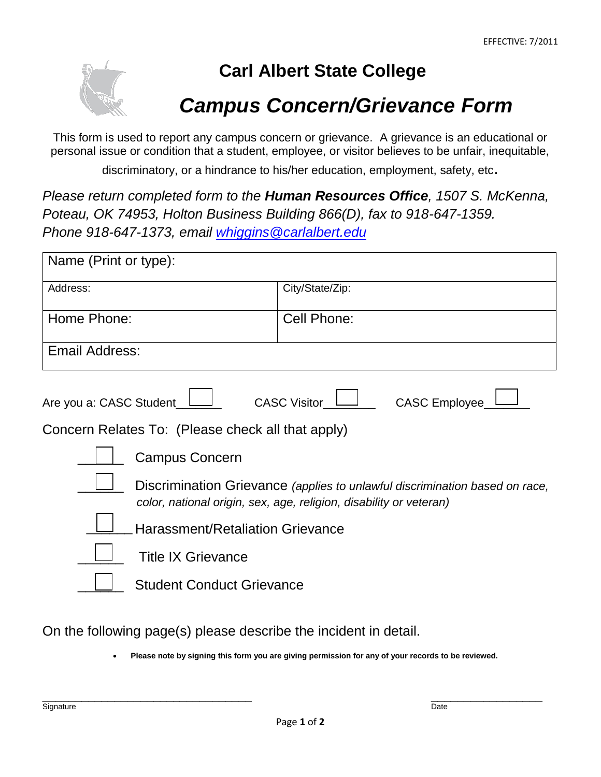

## **Carl Albert State College**

## *Campus Concern/Grievance Form*

This form is used to report any campus concern or grievance. A grievance is an educational or personal issue or condition that a student, employee, or visitor believes to be unfair, inequitable,

discriminatory, or a hindrance to his/her education, employment, safety, etc.

*Please return completed form to the Human Resources Office, 1507 S. McKenna, Poteau, OK 74953, Holton Business Building 866(D), fax to 918-647-1359. Phone 918-647-1373, email [whiggins@carlalbert.edu](mailto:whiggins@carlalbert.edu)*

| Name (Print or type):                                                                                                                             |                       |  |
|---------------------------------------------------------------------------------------------------------------------------------------------------|-----------------------|--|
| Address:                                                                                                                                          | City/State/Zip:       |  |
| Home Phone:                                                                                                                                       | Cell Phone:           |  |
| Email Address:                                                                                                                                    |                       |  |
| <b>CASC Employee</b><br><b>CASC Visitor</b><br>Are you a: CASC Student                                                                            |                       |  |
| Concern Relates To: (Please check all that apply)                                                                                                 |                       |  |
|                                                                                                                                                   | <b>Campus Concern</b> |  |
| Discrimination Grievance (applies to unlawful discrimination based on race,<br>color, national origin, sex, age, religion, disability or veteran) |                       |  |
| <b>Harassment/Retaliation Grievance</b>                                                                                                           |                       |  |
| <b>Title IX Grievance</b>                                                                                                                         |                       |  |
| <b>Student Conduct Grievance</b>                                                                                                                  |                       |  |

On the following page(s) please describe the incident in detail.

• **Please note by signing this form you are giving permission for any of your records to be reviewed.**

\_\_\_\_\_\_\_\_\_\_\_\_\_\_\_\_\_\_\_\_\_\_\_\_\_\_\_\_\_\_\_\_ \_\_\_\_\_\_\_\_\_\_\_\_\_\_\_\_\_